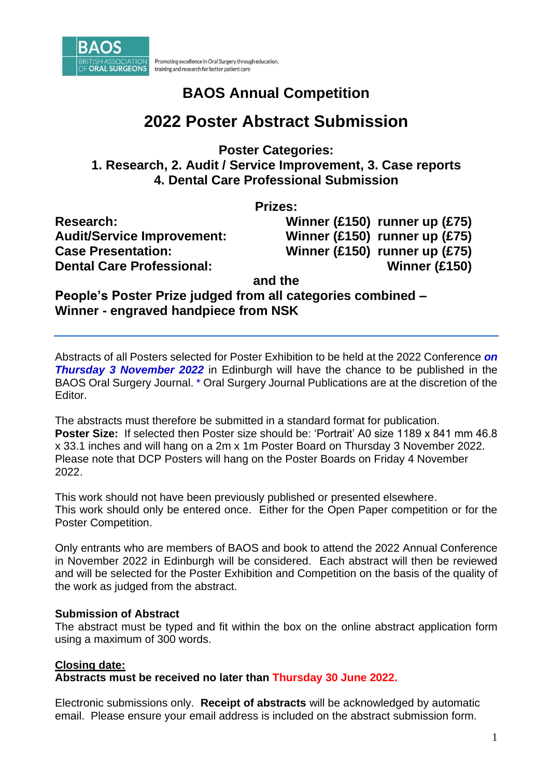

#### Promoting excellence in Oral Surgery through education, training and research for better patient care

# **BAOS Annual Competition**

# **2022 Poster Abstract Submission**

**Poster Categories: 1. Research, 2. Audit / Service Improvement, 3. Case reports 4. Dental Care Professional Submission** 

**Prizes:**

**Research: Winner (£150) runner up (£75) Audit/Service Improvement: Winner (£150) runner up (£75) Case Presentation: Winner (£150) runner up (£75) Dental Care Professional: Winner (£150)**

**and the**

**People's Poster Prize judged from all categories combined – Winner - engraved handpiece from NSK**

Abstracts of all Posters selected for Poster Exhibition to be held at the 2022 Conference *on*  **Thursday 3 November 2022** in Edinburgh will have the chance to be published in the BAOS Oral Surgery Journal. \* Oral Surgery Journal Publications are at the discretion of the Editor.

The abstracts must therefore be submitted in a standard format for publication. **Poster Size:** If selected then Poster size should be: 'Portrait' A0 size 1189 x 841 mm 46.8 x 33.1 inches and will hang on a 2m x 1m Poster Board on Thursday 3 November 2022. Please note that DCP Posters will hang on the Poster Boards on Friday 4 November 2022.

This work should not have been previously published or presented elsewhere. This work should only be entered once. Either for the Open Paper competition or for the Poster Competition.

Only entrants who are members of BAOS and book to attend the 2022 Annual Conference in November 2022 in Edinburgh will be considered. Each abstract will then be reviewed and will be selected for the Poster Exhibition and Competition on the basis of the quality of the work as judged from the abstract.

#### **Submission of Abstract**

The abstract must be typed and fit within the box on the online abstract application form using a maximum of 300 words.

#### **Closing date:**

**Abstracts must be received no later than Thursday 30 June 2022.**

Electronic submissions only. **Receipt of abstracts** will be acknowledged by automatic email. Please ensure your email address is included on the abstract submission form.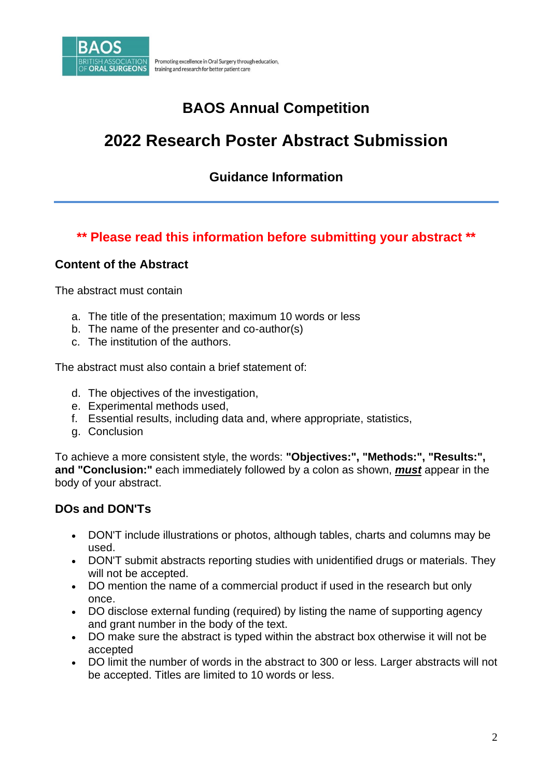

# **2022 Research Poster Abstract Submission**

### **Guidance Information**

### **\*\* Please read this information before submitting your abstract \*\***

#### **Content of the Abstract**

The abstract must contain

- a. The title of the presentation; maximum 10 words or less
- b. The name of the presenter and co-author(s)
- c. The institution of the authors.

The abstract must also contain a brief statement of:

- d. The objectives of the investigation,
- e. Experimental methods used,
- f. Essential results, including data and, where appropriate, statistics,
- g. Conclusion

To achieve a more consistent style, the words: **"Objectives:", "Methods:", "Results:", and "Conclusion:"** each immediately followed by a colon as shown, *must* appear in the body of your abstract.

### **DOs and DON'Ts**

- DON'T include illustrations or photos, although tables, charts and columns may be used.
- DON'T submit abstracts reporting studies with unidentified drugs or materials. They will not be accepted.
- DO mention the name of a commercial product if used in the research but only once.
- DO disclose external funding (required) by listing the name of supporting agency and grant number in the body of the text.
- DO make sure the abstract is typed within the abstract box otherwise it will not be accepted
- DO limit the number of words in the abstract to 300 or less. Larger abstracts will not be accepted. Titles are limited to 10 words or less.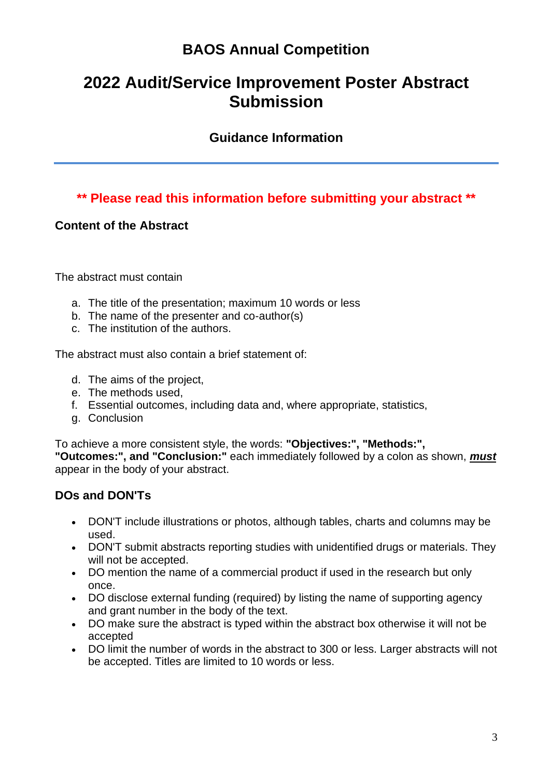# **2022 Audit/Service Improvement Poster Abstract Submission**

### **Guidance Information**

### **\*\* Please read this information before submitting your abstract \*\***

#### **Content of the Abstract**

The abstract must contain

- a. The title of the presentation; maximum 10 words or less
- b. The name of the presenter and co-author(s)
- c. The institution of the authors.

The abstract must also contain a brief statement of:

- d. The aims of the project,
- e. The methods used,
- f. Essential outcomes, including data and, where appropriate, statistics,
- g. Conclusion

To achieve a more consistent style, the words: **"Objectives:", "Methods:", "Outcomes:", and "Conclusion:"** each immediately followed by a colon as shown, *must* appear in the body of your abstract.

### **DOs and DON'Ts**

- DON'T include illustrations or photos, although tables, charts and columns may be used.
- DON'T submit abstracts reporting studies with unidentified drugs or materials. They will not be accepted.
- DO mention the name of a commercial product if used in the research but only once.
- DO disclose external funding (required) by listing the name of supporting agency and grant number in the body of the text.
- DO make sure the abstract is typed within the abstract box otherwise it will not be accepted
- DO limit the number of words in the abstract to 300 or less. Larger abstracts will not be accepted. Titles are limited to 10 words or less.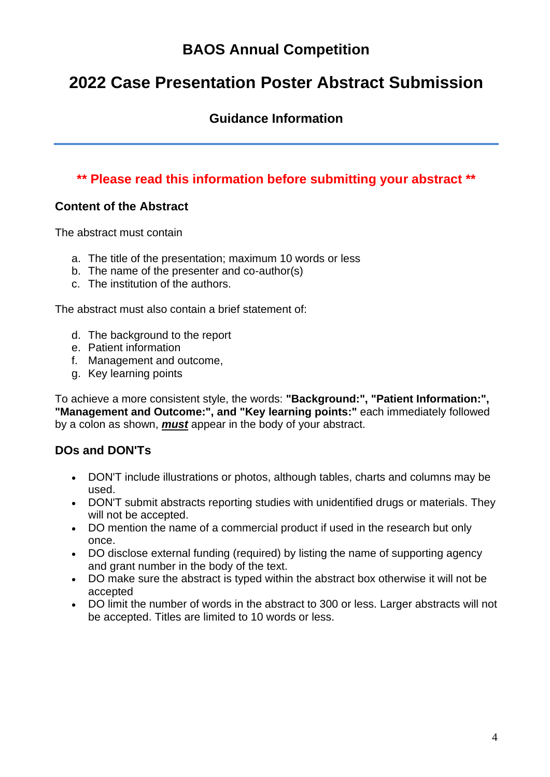# **2022 Case Presentation Poster Abstract Submission**

### **Guidance Information**

### **\*\* Please read this information before submitting your abstract \*\***

#### **Content of the Abstract**

The abstract must contain

- a. The title of the presentation; maximum 10 words or less
- b. The name of the presenter and co-author(s)
- c. The institution of the authors.

The abstract must also contain a brief statement of:

- d. The background to the report
- e. Patient information
- f. Management and outcome,
- g. Key learning points

To achieve a more consistent style, the words: **"Background:", "Patient Information:", "Management and Outcome:", and "Key learning points:"** each immediately followed by a colon as shown, *must* appear in the body of your abstract.

### **DOs and DON'Ts**

- DON'T include illustrations or photos, although tables, charts and columns may be used.
- DON'T submit abstracts reporting studies with unidentified drugs or materials. They will not be accepted.
- DO mention the name of a commercial product if used in the research but only once.
- DO disclose external funding (required) by listing the name of supporting agency and grant number in the body of the text.
- DO make sure the abstract is typed within the abstract box otherwise it will not be accepted
- DO limit the number of words in the abstract to 300 or less. Larger abstracts will not be accepted. Titles are limited to 10 words or less.